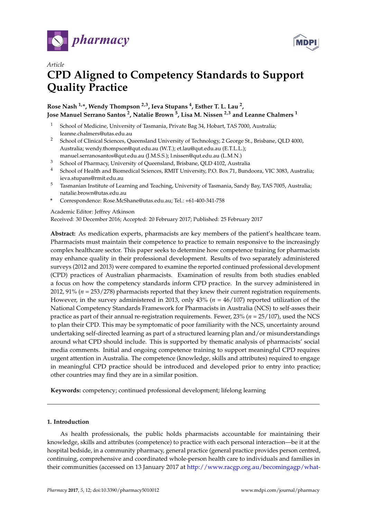



# *Article* **CPD Aligned to Competency Standards to Support Quality Practice**

# **Rose Nash 1,\*, Wendy Thompson 2,3, Ieva Stupans <sup>4</sup> , Esther T. L. Lau <sup>2</sup> , Jose Manuel Serrano Santos <sup>2</sup> , Natalie Brown <sup>5</sup> , Lisa M. Nissen 2,3 and Leanne Chalmers <sup>1</sup>**

- <sup>1</sup> School of Medicine, University of Tasmania, Private Bag 34, Hobart, TAS 7000, Australia; leanne.chalmers@utas.edu.au
- <sup>2</sup> School of Clinical Sciences, Queensland University of Technology, 2 George St., Brisbane, QLD 4000, Australia; wendy.thompson@qut.edu.au (W.T.); et.lau@qut.edu.au (E.T.L.L.); manuel.serranosantos@qut.edu.au (J.M.S.S.); l.nissen@qut.edu.au (L.M.N.)
- <sup>3</sup> School of Pharmacy, University of Queensland, Brisbane, QLD 4102, Australia
- <sup>4</sup> School of Health and Biomedical Sciences, RMIT University, P.O. Box 71, Bundoora, VIC 3083, Australia; ieva.stupans@rmit.edu.au
- <sup>5</sup> Tasmanian Institute of Learning and Teaching, University of Tasmania, Sandy Bay, TAS 7005, Australia; natalie.brown@utas.edu.au
- **\*** Correspondence: Rose.McShane@utas.edu.au; Tel.: +61-400-341-758

#### Academic Editor: Jeffrey Atkinson

Received: 30 December 2016; Accepted: 20 February 2017; Published: 25 February 2017

**Abstract:** As medication experts, pharmacists are key members of the patient's healthcare team. Pharmacists must maintain their competence to practice to remain responsive to the increasingly complex healthcare sector. This paper seeks to determine how competence training for pharmacists may enhance quality in their professional development. Results of two separately administered surveys (2012 and 2013) were compared to examine the reported continued professional development (CPD) practices of Australian pharmacists. Examination of results from both studies enabled a focus on how the competency standards inform CPD practice. In the survey administered in 2012, 91% (*n* = 253/278) pharmacists reported that they knew their current registration requirements. However, in the survey administered in 2013, only 43% (*n* = 46/107) reported utilization of the National Competency Standards Framework for Pharmacists in Australia (NCS) to self-asses their practice as part of their annual re-registration requirements. Fewer, 23% (*n* = 25/107), used the NCS to plan their CPD. This may be symptomatic of poor familiarity with the NCS, uncertainty around undertaking self-directed learning as part of a structured learning plan and/or misunderstandings around what CPD should include. This is supported by thematic analysis of pharmacists' social media comments. Initial and ongoing competence training to support meaningful CPD requires urgent attention in Australia. The competence (knowledge, skills and attributes) required to engage in meaningful CPD practice should be introduced and developed prior to entry into practice; other countries may find they are in a similar position.

**Keywords:** competency; continued professional development; lifelong learning

# **1. Introduction**

As health professionals, the public holds pharmacists accountable for maintaining their knowledge, skills and attributes (competence) to practice with each personal interaction—be it at the hospital bedside, in a community pharmacy, general practice (general practice provides person centred, continuing, comprehensive and coordinated whole-person health care to individuals and families in their communities (accessed on 13 January 2017 at [http://www.racgp.org.au/becomingagp/what-](http://www.racgp.org.au/becomingagp/what-is-a-gp/what-is-general-practice/)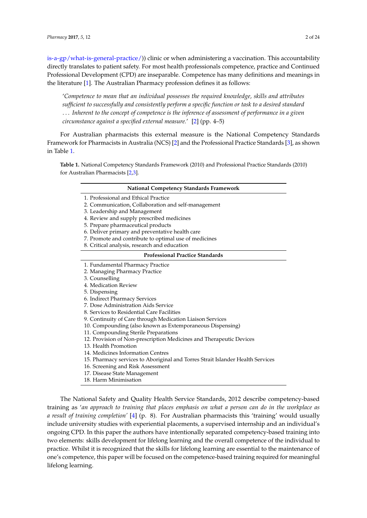[is-a-gp/what-is-general-practice/\)](http://www.racgp.org.au/becomingagp/what-is-a-gp/what-is-general-practice/)) clinic or when administering a vaccination. This accountability directly translates to patient safety. For most health professionals competence, practice and Continued Professional Development (CPD) are inseparable. Competence has many definitions and meanings in the literature [\[1\]](#page-21-0). The Australian Pharmacy profession defines it as follows:

'*Competence to mean that an individual possesses the required knowledge, skills and attributes sufficient to successfully and consistently perform a specific function or task to a desired standard* . . . *Inherent to the concept of competence is the inference of assessment of performance in a given circumstance against a specified external measure.*' [\[2\]](#page-21-1) (pp. 4–5)

For Australian pharmacists this external measure is the National Competency Standards Framework for Pharmacists in Australia (NCS) [\[2\]](#page-21-1) and the Professional Practice Standards [\[3\]](#page-21-2), as shown in Table [1.](#page-1-0)

<span id="page-1-0"></span>**Table 1.** National Competency Standards Framework (2010) and Professional Practice Standards (2010) for Australian Pharmacists [\[2,](#page-21-1)[3\]](#page-21-2).

#### **National Competency Standards Framework**

- 1. Professional and Ethical Practice
- 2. Communication, Collaboration and self-management
- 3. Leadership and Management
- 4. Review and supply prescribed medicines
- 5. Prepare pharmaceutical products
- 6. Deliver primary and preventative health care
- 7. Promote and contribute to optimal use of medicines
- 8. Critical analysis, research and education

#### **Professional Practice Standards**

- 1. Fundamental Pharmacy Practice
- 2. Managing Pharmacy Practice
- 3. Counselling
- 4. Medication Review
- 5. Dispensing
- 6. Indirect Pharmacy Services
- 7. Dose Administration Aids Service
- 8. Services to Residential Care Facilities
- 9. Continuity of Care through Medication Liaison Services
- 10. Compounding (also known as Extemporaneous Dispensing)
- 11. Compounding Sterile Preparations
- 12. Provision of Non-prescription Medicines and Therapeutic Devices
- 13. Health Promotion
- 14. Medicines Information Centres
- 15. Pharmacy services to Aboriginal and Torres Strait Islander Health Services
- 16. Screening and Risk Assessment
- 17. Disease State Management
- 18. Harm Minimisation

The National Safety and Quality Health Service Standards, 2012 describe competency-based training as '*an approach to training that places emphasis on what a person can do in the workplace as a result of training completion'* [\[4\]](#page-21-3) (p. 8). For Australian pharmacists this 'training' would usually include university studies with experiential placements, a supervised internship and an individual's ongoing CPD. In this paper the authors have intentionally separated competency-based training into two elements: skills development for lifelong learning and the overall competence of the individual to practice. Whilst it is recognized that the skills for lifelong learning are essential to the maintenance of one's competence, this paper will be focused on the competence-based training required for meaningful lifelong learning.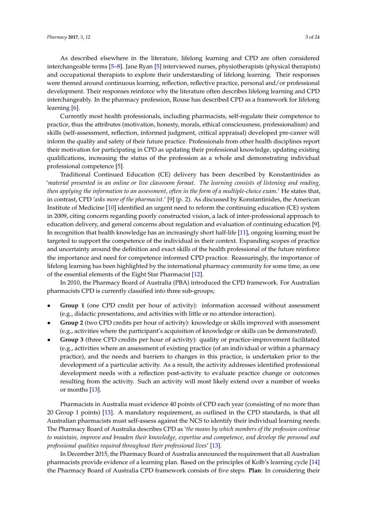As described elsewhere in the literature, lifelong learning and CPD are often considered interchangeable terms [\[5](#page-21-4)[–8\]](#page-21-5). Jane Ryan [\[5\]](#page-21-4) interviewed nurses, physiotherapists (physical therapists) and occupational therapists to explore their understanding of lifelong learning. Their responses were themed around continuous learning, reflection, reflective practice, personal and/or professional development. Their responses reinforce why the literature often describes lifelong learning and CPD interchangeably. In the pharmacy profession, Rouse has described CPD as a framework for lifelong learning [\[6\]](#page-21-6).

Currently most health professionals, including pharmacists, self-regulate their competence to practice, thus the attributes (motivation, honesty, morals, ethical consciousness, professionalism) and skills (self-assessment, reflection, informed judgment, critical appraisal) developed pre-career will inform the quality and safety of their future practice. Professionals from other health disciplines report their motivation for participating in CPD as updating their professional knowledge, updating existing qualifications, increasing the status of the profession as a whole and demonstrating individual professional competence [\[5\]](#page-21-4).

Traditional Continued Education (CE) delivery has been described by Konstantinides as '*material presented in an online or live classroom format. The learning consists of listening and reading, then applying the information to an assessment, often in the form of a multiple-choice exam.*' He states that, in contrast, CPD '*asks more of the pharmacist.*' [\[9\]](#page-21-7) (p. 2). As discussed by Konstantinides, the American Institute of Medicine [\[10\]](#page-21-8) identified an urgent need to reform the continuing education (CE) system in 2009, citing concern regarding poorly constructed vision, a lack of inter-professional approach to education delivery, and general concerns about regulation and evaluation of continuing education [\[9\]](#page-21-7). In recognition that health knowledge has an increasingly short half-life [\[11\]](#page-21-9), ongoing learning must be targeted to support the competence of the individual in their context. Expanding scopes of practice and uncertainty around the definition and exact skills of the health professional of the future reinforce the importance and need for competence informed CPD practice. Reassuringly, the importance of lifelong learning has been highlighted by the international pharmacy community for some time, as one of the essential elements of the Eight Star Pharmacist [\[12\]](#page-22-0).

In 2010, the Pharmacy Board of Australia (PBA) introduced the CPD framework. For Australian pharmacists CPD is currently classified into three sub-groups;

- **Group 1** (one CPD credit per hour of activity): information accessed without assessment (e.g., didactic presentations, and activities with little or no attendee interaction).
- **Group 2** (two CPD credits per hour of activity): knowledge or skills improved with assessment (e.g., activities where the participant's acquisition of knowledge or skills can be demonstrated).
- **Group 3** (three CPD credits per hour of activity): quality or practice-improvement facilitated (e.g., activities where an assessment of existing practice (of an individual or within a pharmacy practice), and the needs and barriers to changes in this practice, is undertaken prior to the development of a particular activity. As a result, the activity addresses identified professional development needs with a reflection post-activity to evaluate practice change or outcomes resulting from the activity. Such an activity will most likely extend over a number of weeks or months [\[13\]](#page-22-1).

Pharmacists in Australia must evidence 40 points of CPD each year (consisting of no more than 20 Group 1 points) [\[13\]](#page-22-1). A mandatory requirement, as outlined in the CPD standards, is that all Australian pharmacists must self-assess against the NCS to identify their individual learning needs. The Pharmacy Board of Australia describes CPD as '*the means by which members of the profession continue to maintain, improve and broaden their knowledge, expertise and competence, and develop the personal and professional qualities required throughout their professional lives*' [\[13\]](#page-22-1).

In December 2015, the Pharmacy Board of Australia announced the requirement that all Australian pharmacists provide evidence of a learning plan. Based on the principles of Kolb's learning cycle [\[14\]](#page-22-2) the Pharmacy Board of Australia CPD framework consists of five steps. **Plan**: In considering their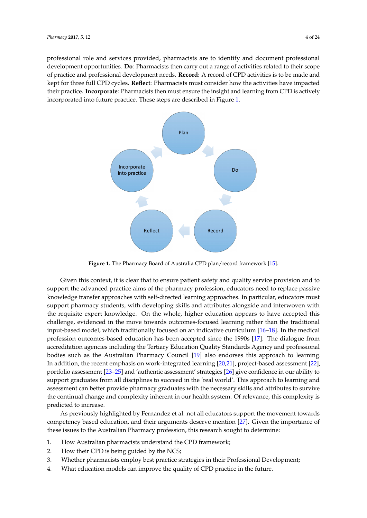<span id="page-3-0"></span>professional role and services provided, pharmacists are to identify and document professional development opportunities. **Do**: Pharmacists then carry out a range of activities related to their scope of practice and professional development needs. **Record**: A record of CPD activities is to be made and kept for three full CPD cycles. **Reflect**: Pharmacists must consider how the activities have impacted their practice. **Incorporate**: Pharmacists then must ensure the insight and learning from CPD is actively incorporated into future practice. These steps are [de](#page-3-0)scribed in Figure 1.



**Figure 1.** The Pharmacy Board of Australia CPD plan/record framework [15]. **Figure 1.** The Pharmacy Board of Australia CPD plan/record framework [\[15\]](#page-22-3).

Given this context, it is clear that to ensure patient safety and quality service provision and to Given this context, it is clear that to ensure patient safety and quality service provision and to support the advanced practice aims of the pharmacy profession, educators need to replace passive knowledge transfer approaches with self-directed learning approaches. In particular, educators must support pharmacy students, with developing skills and attributes alongside and interwoven with the requisite expert knowledge. On the whole, higher education appears to have accepted this challenge, evidenced in the move towards outcomes-focused learning rather than the traditional input-based model, which traditionally focused on an indicative curriculum [\[16](#page-22-4)[–18\]](#page-22-5). In the medical profession outcomes-based education has been accepted since the 1990s [\[17\]](#page-22-6). The dialogue from as the Australian Pharmacy Council  $\mathbb{R}^n$  also endorses the Australian Pharmacy Council  $\mathbb{R}^n$ . In addition, the Muslim  $\mathbb{R}^n$ accreditation agencies including the Tertiary Education Quality Standards Agency and professional bodies such as the Australian Pharmacy Council [\[19\]](#page-22-7) also endorses this approach to learning. In addition, the recent emphasis on work-integrated learning  $[20,21]$  $[20,21]$ , project-based assessment  $[22]$ , portfolio assessment [\[23](#page-22-11)[–25\]](#page-22-12) and 'authentic assessment' strategies [\[26\]](#page-22-13) give confidence in our ability to support graduates from all disciplines to succeed in the 'real world'. This approach to learning and assessment can better provide pharmacy graduates with the necessary skills and attributes to survive the continual change and complexity inherent in our health system. Of relevance, this complexity is  $\alpha$  based to increase  $\alpha$ .  $\alpha$ predicted to increase.

As previously highlighted by Fernandez et al. not all educators support the movement towards competency based education, and their arguments deserve mention [\[27\]](#page-22-14). Given the importance of these issues to the Australian Pharmacy profession, this research sought to determine:  $3.8.$  Whenher pharmacists employ best practice strategies in the interval  $P$ 

- 1. How Australian pharmacists understand the CPD framework;
- 2. How their CPD is being guided by the NCS;
- 3. Whether pharmacists employ best practice strategies in their Professional Development;
- 4. What education models can improve the quality of CPD practice in the future.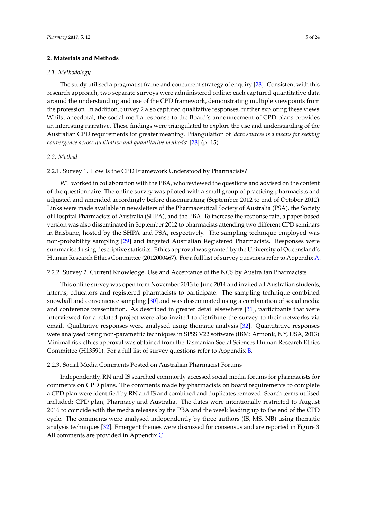#### **2. Materials and Methods**

#### *2.1. Methodology*

The study utilised a pragmatist frame and concurrent strategy of enquiry [\[28\]](#page-22-15). Consistent with this research approach, two separate surveys were administered online; each captured quantitative data around the understanding and use of the CPD framework, demonstrating multiple viewpoints from the profession. In addition, Survey 2 also captured qualitative responses, further exploring these views. Whilst anecdotal, the social media response to the Board's announcement of CPD plans provides an interesting narrative. These findings were triangulated to explore the use and understanding of the Australian CPD requirements for greater meaning. Triangulation of '*data sources is a means for seeking convergence across qualitative and quantitative methods*' [\[28\]](#page-22-15) (p. 15).

#### *2.2. Method*

#### 2.2.1. Survey 1. How Is the CPD Framework Understood by Pharmacists?

WT worked in collaboration with the PBA, who reviewed the questions and advised on the content of the questionnaire. The online survey was piloted with a small group of practicing pharmacists and adjusted and amended accordingly before disseminating (September 2012 to end of October 2012). Links were made available in newsletters of the Pharmaceutical Society of Australia (PSA), the Society of Hospital Pharmacists of Australia (SHPA), and the PBA. To increase the response rate, a paper-based version was also disseminated in September 2012 to pharmacists attending two different CPD seminars in Brisbane, hosted by the SHPA and PSA, respectively. The sampling technique employed was non-probability sampling [\[29\]](#page-22-16) and targeted Australian Registered Pharmacists. Responses were summarised using descriptive statistics. Ethics approval was granted by the University of Queensland's Human Research Ethics Committee (2012000467). For a full list of survey questions refer to Appendix [A.](#page-10-0)

#### 2.2.2. Survey 2. Current Knowledge, Use and Acceptance of the NCS by Australian Pharmacists

This online survey was open from November 2013 to June 2014 and invited all Australian students, interns, educators and registered pharmacists to participate. The sampling technique combined snowball and convenience sampling [\[30\]](#page-22-17) and was disseminated using a combination of social media and conference presentation. As described in greater detail elsewhere [\[31\]](#page-22-18), participants that were interviewed for a related project were also invited to distribute the survey to their networks via email. Qualitative responses were analysed using thematic analysis [\[32\]](#page-22-19). Quantitative responses were analysed using non-parametric techniques in SPSS V22 software (IBM: Armonk, NY, USA, 2013). Minimal risk ethics approval was obtained from the Tasmanian Social Sciences Human Research Ethics Committee (H13591). For a full list of survey questions refer to Appendix [B.](#page-14-0)

#### 2.2.3. Social Media Comments Posted on Australian Pharmacist Forums

Independently, RN and IS searched commonly accessed social media forums for pharmacists for comments on CPD plans. The comments made by pharmacists on board requirements to complete a CPD plan were identified by RN and IS and combined and duplicates removed. Search terms utilised included; CPD plan, Pharmacy and Australia. The dates were intentionally restricted to August 2016 to coincide with the media releases by the PBA and the week leading up to the end of the CPD cycle. The comments were analysed independently by three authors (IS, MS, NB) using thematic analysis techniques [\[32\]](#page-22-19). Emergent themes were discussed for consensus and are reported in Figure 3. All comments are provided in Appendix [C.](#page-16-0)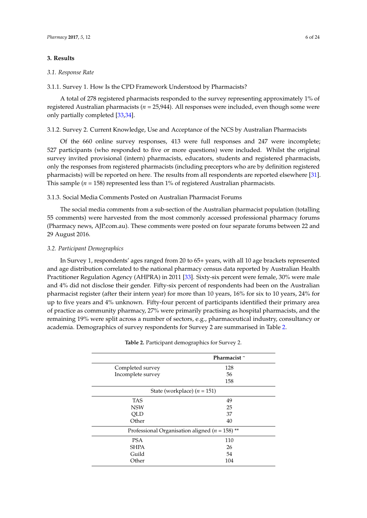#### **3. Results**

#### *3.1. Response Rate*

3.1.1. Survey 1. How Is the CPD Framework Understood by Pharmacists?

A total of 278 registered pharmacists responded to the survey representing approximately 1% of registered Australian pharmacists ( $n = 25,944$ ). All responses were included, even though some were only partially completed [\[33](#page-22-20)[,34\]](#page-23-0).

#### 3.1.2. Survey 2. Current Knowledge, Use and Acceptance of the NCS by Australian Pharmacists

Of the 660 online survey responses, 413 were full responses and 247 were incomplete; 527 participants (who responded to five or more questions) were included. Whilst the original survey invited provisional (intern) pharmacists, educators, students and registered pharmacists, only the responses from registered pharmacists (including preceptors who are by definition registered pharmacists) will be reported on here. The results from all respondents are reported elsewhere [\[31\]](#page-22-18). This sample ( $n = 158$ ) represented less than 1% of registered Australian pharmacists.

#### 3.1.3. Social Media Comments Posted on Australian Pharmacist Forums

The social media comments from a sub-section of the Australian pharmacist population (totalling 55 comments) were harvested from the most commonly accessed professional pharmacy forums (Pharmacy news, AJP.com.au). These comments were posted on four separate forums between 22 and 29 August 2016.

# *3.2. Participant Demographics*

In Survey 1, respondents' ages ranged from 20 to 65+ years, with all 10 age brackets represented and age distribution correlated to the national pharmacy census data reported by Australian Health Practitioner Regulation Agency (AHPRA) in 2011 [\[33\]](#page-22-20). Sixty-six percent were female, 30% were male and 4% did not disclose their gender. Fifty-six percent of respondents had been on the Australian pharmacist register (after their intern year) for more than 10 years, 16% for six to 10 years, 24% for up to five years and 4% unknown. Fifty-four percent of participants identified their primary area of practice as community pharmacy, 27% were primarily practising as hospital pharmacists, and the remaining 19% were split across a number of sectors, e.g., pharmaceutical industry, consultancy or academia. Demographics of survey respondents for Survey 2 are summarised in Table [2.](#page-6-0)

|                                                    | Pharmacist~ |
|----------------------------------------------------|-------------|
| Completed survey                                   | 128         |
| Incomplete survey                                  | 56          |
|                                                    | 158         |
| State (workplace) $(n = 151)$                      |             |
| <b>TAS</b>                                         | 49          |
| <b>NSW</b>                                         | 25          |
| <b>OLD</b>                                         | 37          |
| Other                                              | 40          |
| Professional Organisation aligned ( $n = 158$ ) ** |             |
| <b>PSA</b>                                         | 110         |
| <b>SHPA</b>                                        | 26          |
| Guild                                              | 54          |
| Other                                              | 104         |
|                                                    |             |

|  |  |  | <b>Table 2.</b> Participant demographics for Survey 2. |  |  |  |  |
|--|--|--|--------------------------------------------------------|--|--|--|--|
|--|--|--|--------------------------------------------------------|--|--|--|--|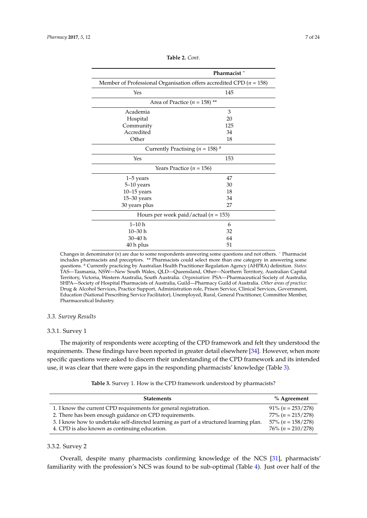<span id="page-6-0"></span>

|                                                                         | Pharmacist~ |  |  |  |  |
|-------------------------------------------------------------------------|-------------|--|--|--|--|
| Member of Professional Organisation offers accredited CPD ( $n = 158$ ) |             |  |  |  |  |
| Yes                                                                     | 145         |  |  |  |  |
| Area of Practice ( $n = 158$ ) **                                       |             |  |  |  |  |
| Academia                                                                | 3           |  |  |  |  |
| Hospital                                                                | 20          |  |  |  |  |
| Community                                                               | 125         |  |  |  |  |
| Accredited                                                              | 34          |  |  |  |  |
| Other                                                                   | 18          |  |  |  |  |
| Currently Practising ( $n = 158$ ) <sup>a</sup>                         |             |  |  |  |  |
| Yes                                                                     | 153         |  |  |  |  |
| Years Practice ( $n = 156$ )                                            |             |  |  |  |  |
| $1-5$ years                                                             | 47          |  |  |  |  |
| 5-10 years                                                              | 30          |  |  |  |  |
| $10-15$ years                                                           | 18          |  |  |  |  |
| $15 - 30$ years                                                         | 34          |  |  |  |  |
| 30 years plus                                                           | 27          |  |  |  |  |
| Hours per week paid/actual ( $n = 153$ )                                |             |  |  |  |  |
| $1-10h$                                                                 | 6           |  |  |  |  |
| $10 - 30h$                                                              | 32          |  |  |  |  |
| $30 - 40 h$                                                             | 64          |  |  |  |  |
| 40 h plus                                                               | 51          |  |  |  |  |

**Table 2.** *Cont*.

Changes in denominator (*n*) are due to some respondents answering some questions and not others. <sup>~</sup> Pharmacist includes pharmacists and preceptors. \*\* Pharmacists could select more than one category in answering some questions. <sup>a</sup> Currently practicing by Australian Health Practitioner Regulation Agency (AHPRA) definition. *States*: TAS—Tasmania, NSW—New South Wales, QLD—Queensland, Other—Northern Territory, Australian Capital Territory, Victoria, Western Australia, South Australia. *Organisation*: PSA—Pharmaceutical Society of Australia, SHPA—Society of Hospital Pharmacists of Australia, Guild—Pharmacy Guild of Australia. *Other areas of practice*: Drug & Alcohol Services, Practice Support, Administration role, Prison Service, Clinical Services, Government, Education (National Prescribing Service Facilitator), Unemployed, Rural, General Practitioner, Committee Member, Pharmaceutical Industry.

#### *3.3. Survey Results*

#### 3.3.1. Survey 1

The majority of respondents were accepting of the CPD framework and felt they understood the requirements. These findings have been reported in greater detail elsewhere [\[34\]](#page-23-0). However, when more specific questions were asked to discern their understanding of the CPD framework and its intended use, it was clear that there were gaps in the responding pharmacists' knowledge (Table [3\)](#page-6-1).

|  |  |  | Table 3. Survey 1. How is the CPD framework understood by pharmacists? |
|--|--|--|------------------------------------------------------------------------|
|--|--|--|------------------------------------------------------------------------|

<span id="page-6-1"></span>

| <b>Statements</b>                                                                        | $%$ Agreement                   |
|------------------------------------------------------------------------------------------|---------------------------------|
| 1. I know the current CPD requirements for general registration.                         | $91\% (n = 253/278)$            |
| 2. There has been enough guidance on CPD requirements.                                   | $77\% (n = 215/278)$            |
| 3. I know how to undertake self-directed learning as part of a structured learning plan. | $57\%$ ( <i>n</i> = $158/278$ ) |
| 4. CPD is also known as continuing education.                                            | $76\% (n = 210/278)$            |

#### 3.3.2. Survey 2

Overall, despite many pharmacists confirming knowledge of the NCS [\[31\]](#page-22-18), pharmacists' familiarity with the profession's NCS was found to be sub-optimal (Table [4\)](#page-7-0). Just over half of the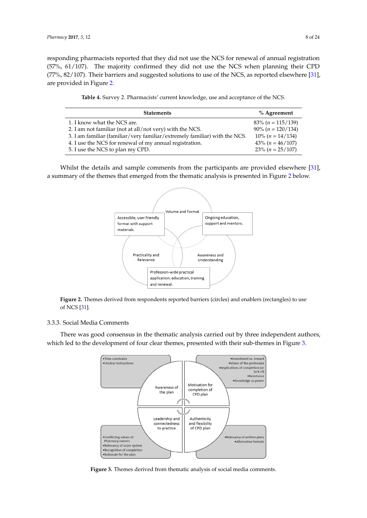responding pharmacists reported that they did not use the NCS for renewal of annual registration (57%, 61/107). The majority confirmed they did not use the NCS when planning their CPD (77%, 82/107). Their barriers and suggested solutions to use of the NCS, as reported elsewhere [\[31\]](#page-22-18), are provided in Figure [2.](#page-7-1) *Pharmacy* **2017**, *5*, 12 8 of 24

<span id="page-7-0"></span>

| Table 4. Survey 2. Pharmacists' current knowledge, use and acceptance of the NCS. |  |  |  |
|-----------------------------------------------------------------------------------|--|--|--|
|                                                                                   |  |  |  |

| <b>Statements</b>                                                          | % Agreement          |
|----------------------------------------------------------------------------|----------------------|
| 1. I know what the NCS are.                                                | $83\% (n = 115/139)$ |
| 2. I am not familiar (not at all/not very) with the NCS.                   | $90\% (n = 120/134)$ |
| 3. I am familiar (familiar/very familiar/extremely familiar) with the NCS. | $10\% (n = 14/134)$  |
| 4. I use the NCS for renewal of my annual registration.                    | $43\% (n = 46/107)$  |
| 5. I use the NCS to plan my CPD.                                           | $23\% (n = 25/107)$  |
|                                                                            |                      |

<span id="page-7-1"></span>Whilst the details and sample comments from the participants are provided elsewhere [\[31\]](#page-22-18), a summary of the themes that emerged from the thematic analysis is presented in Figure 2 below.



**Figure 2.** Themes derived from respondents reported barriers (circles) and enablers (rectangles) to **Figure 2.** Themes derived from respondents reported barriers (circles) and enablers (rectangles) to use of NCS [\[31\]](#page-22-18). **Figure 2.** The message 2. Themes derived from respondents reported barriers (circles) and enables (rectangles) to  $\mathbf{r}$ 

# 3.3.3. Social Media Comments 3.3.3. Social Media Comments 3.3.3. Social Media Comments

<span id="page-7-2"></span>There was good consensus in the thematic analysis carried out by three independent authors, There was good consensus in the thematic analysis carried out by three independent authors, which led to the development of four clear themes, presented with their sub-themes in Figure [3.](#page-7-2)



**Figure 3.** Themes derived from thematic analysis of social media comments. **Figure 3.** Themes derived from thematic analysis of social media comments.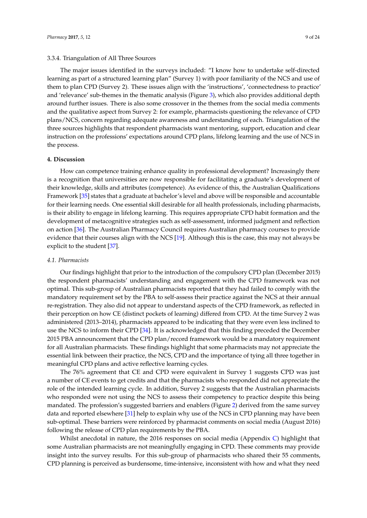#### 3.3.4. Triangulation of All Three Sources

The major issues identified in the surveys included: "I know how to undertake self-directed learning as part of a structured learning plan" (Survey 1) with poor familiarity of the NCS and use of them to plan CPD (Survey 2). These issues align with the 'instructions', 'connectedness to practice' and 'relevance' sub-themes in the thematic analysis (Figure [3\)](#page-7-2), which also provides additional depth around further issues. There is also some crossover in the themes from the social media comments and the qualitative aspect from Survey 2: for example, pharmacists questioning the relevance of CPD plans/NCS, concern regarding adequate awareness and understanding of each. Triangulation of the three sources highlights that respondent pharmacists want mentoring, support, education and clear instruction on the professions' expectations around CPD plans, lifelong learning and the use of NCS in the process.

#### **4. Discussion**

How can competence training enhance quality in professional development? Increasingly there is a recognition that universities are now responsible for facilitating a graduate's development of their knowledge, skills and attributes (competence). As evidence of this, the Australian Qualifications Framework [\[35\]](#page-23-1) states that a graduate at bachelor's level and above will be responsible and accountable for their learning needs. One essential skill desirable for all health professionals, including pharmacists, is their ability to engage in lifelong learning. This requires appropriate CPD habit formation and the development of metacognitive strategies such as self-assessment, informed judgment and reflection on action [\[36\]](#page-23-2). The Australian Pharmacy Council requires Australian pharmacy courses to provide evidence that their courses align with the NCS [\[19\]](#page-22-7). Although this is the case, this may not always be explicit to the student [\[37\]](#page-23-3).

#### *4.1. Pharmacists*

Our findings highlight that prior to the introduction of the compulsory CPD plan (December 2015) the respondent pharmacists' understanding and engagement with the CPD framework was not optimal. This sub-group of Australian pharmacists reported that they had failed to comply with the mandatory requirement set by the PBA to self-assess their practice against the NCS at their annual re-registration. They also did not appear to understand aspects of the CPD framework, as reflected in their perception on how CE (distinct pockets of learning) differed from CPD. At the time Survey 2 was administered (2013–2014), pharmacists appeared to be indicating that they were even less inclined to use the NCS to inform their CPD [\[34\]](#page-23-0). It is acknowledged that this finding preceded the December 2015 PBA announcement that the CPD plan/record framework would be a mandatory requirement for all Australian pharmacists. These findings highlight that some pharmacists may not appreciate the essential link between their practice, the NCS, CPD and the importance of tying all three together in meaningful CPD plans and active reflective learning cycles.

The 76% agreement that CE and CPD were equivalent in Survey 1 suggests CPD was just a number of CE events to get credits and that the pharmacists who responded did not appreciate the role of the intended learning cycle. In addition, Survey 2 suggests that the Australian pharmacists who responded were not using the NCS to assess their competency to practice despite this being mandated. The profession's suggested barriers and enablers (Figure [2\)](#page-7-1) derived from the same survey data and reported elsewhere [\[31\]](#page-22-18) help to explain why use of the NCS in CPD planning may have been sub-optimal. These barriers were reinforced by pharmacist comments on social media (August 2016) following the release of CPD plan requirements by the PBA.

Whilst anecdotal in nature, the 2016 responses on social media (Appendix  $C$ ) highlight that some Australian pharmacists are not meaningfully engaging in CPD. These comments may provide insight into the survey results. For this sub-group of pharmacists who shared their 55 comments, CPD planning is perceived as burdensome, time-intensive, inconsistent with how and what they need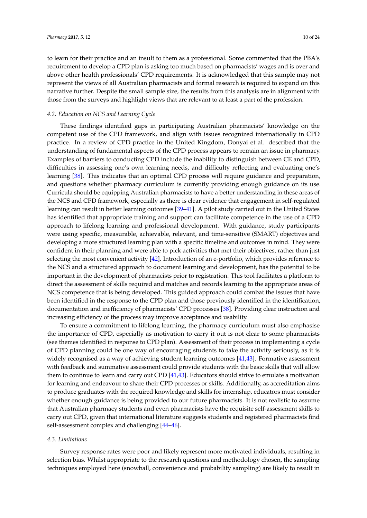to learn for their practice and an insult to them as a professional. Some commented that the PBA's requirement to develop a CPD plan is asking too much based on pharmacists' wages and is over and above other health professionals' CPD requirements. It is acknowledged that this sample may not represent the views of all Australian pharmacists and formal research is required to expand on this narrative further. Despite the small sample size, the results from this analysis are in alignment with those from the surveys and highlight views that are relevant to at least a part of the profession.

#### *4.2. Education on NCS and Learning Cycle*

These findings identified gaps in participating Australian pharmacists' knowledge on the competent use of the CPD framework, and align with issues recognized internationally in CPD practice. In a review of CPD practice in the United Kingdom, Donyai et al. described that the understanding of fundamental aspects of the CPD process appears to remain an issue in pharmacy. Examples of barriers to conducting CPD include the inability to distinguish between CE and CPD, difficulties in assessing one's own learning needs, and difficulty reflecting and evaluating one's learning [\[38\]](#page-23-4). This indicates that an optimal CPD process will require guidance and preparation, and questions whether pharmacy curriculum is currently providing enough guidance on its use. Curricula should be equipping Australian pharmacists to have a better understanding in these areas of the NCS and CPD framework, especially as there is clear evidence that engagement in self-regulated learning can result in better learning outcomes [\[39](#page-23-5)[–41\]](#page-23-6). A pilot study carried out in the United States has identified that appropriate training and support can facilitate competence in the use of a CPD approach to lifelong learning and professional development. With guidance, study participants were using specific, measurable, achievable, relevant, and time-sensitive (SMART) objectives and developing a more structured learning plan with a specific timeline and outcomes in mind. They were confident in their planning and were able to pick activities that met their objectives, rather than just selecting the most convenient activity [\[42\]](#page-23-7). Introduction of an e-portfolio, which provides reference to the NCS and a structured approach to document learning and development, has the potential to be important in the development of pharmacists prior to registration. This tool facilitates a platform to direct the assessment of skills required and matches and records learning to the appropriate areas of NCS competence that is being developed. This guided approach could combat the issues that have been identified in the response to the CPD plan and those previously identified in the identification, documentation and inefficiency of pharmacists' CPD processes [\[38\]](#page-23-4). Providing clear instruction and increasing efficiency of the process may improve acceptance and usability.

To ensure a commitment to lifelong learning, the pharmacy curriculum must also emphasise the importance of CPD, especially as motivation to carry it out is not clear to some pharmacists (see themes identified in response to CPD plan). Assessment of their process in implementing a cycle of CPD planning could be one way of encouraging students to take the activity seriously, as it is widely recognised as a way of achieving student learning outcomes [\[41](#page-23-6)[,43\]](#page-23-8). Formative assessment with feedback and summative assessment could provide students with the basic skills that will allow them to continue to learn and carry out CPD [\[41](#page-23-6)[,43\]](#page-23-8). Educators should strive to emulate a motivation for learning and endeavour to share their CPD processes or skills. Additionally, as accreditation aims to produce graduates with the required knowledge and skills for internship, educators must consider whether enough guidance is being provided to our future pharmacists. It is not realistic to assume that Australian pharmacy students and even pharmacists have the requisite self-assessment skills to carry out CPD, given that international literature suggests students and registered pharmacists find self-assessment complex and challenging [\[44](#page-23-9)[–46\]](#page-23-10).

#### *4.3. Limitations*

Survey response rates were poor and likely represent more motivated individuals, resulting in selection bias. Whilst appropriate to the research questions and methodology chosen, the sampling techniques employed here (snowball, convenience and probability sampling) are likely to result in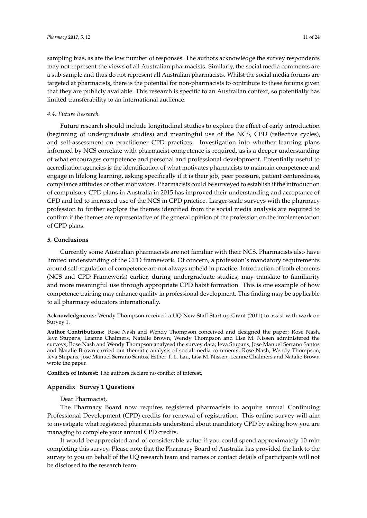sampling bias, as are the low number of responses. The authors acknowledge the survey respondents may not represent the views of all Australian pharmacists. Similarly, the social media comments are a sub-sample and thus do not represent all Australian pharmacists. Whilst the social media forums are targeted at pharmacists, there is the potential for non-pharmacists to contribute to these forums given that they are publicly available. This research is specific to an Australian context, so potentially has limited transferability to an international audience.

#### *4.4. Future Research*

Future research should include longitudinal studies to explore the effect of early introduction (beginning of undergraduate studies) and meaningful use of the NCS, CPD (reflective cycles), and self-assessment on practitioner CPD practices. Investigation into whether learning plans informed by NCS correlate with pharmacist competence is required, as is a deeper understanding of what encourages competence and personal and professional development. Potentially useful to accreditation agencies is the identification of what motivates pharmacists to maintain competence and engage in lifelong learning, asking specifically if it is their job, peer pressure, patient centeredness, compliance attitudes or other motivators. Pharmacists could be surveyed to establish if the introduction of compulsory CPD plans in Australia in 2015 has improved their understanding and acceptance of CPD and led to increased use of the NCS in CPD practice. Larger-scale surveys with the pharmacy profession to further explore the themes identified from the social media analysis are required to confirm if the themes are representative of the general opinion of the profession on the implementation of CPD plans.

### **5. Conclusions**

Currently some Australian pharmacists are not familiar with their NCS. Pharmacists also have limited understanding of the CPD framework. Of concern, a profession's mandatory requirements around self-regulation of competence are not always upheld in practice. Introduction of both elements (NCS and CPD Framework) earlier, during undergraduate studies, may translate to familiarity and more meaningful use through appropriate CPD habit formation. This is one example of how competence training may enhance quality in professional development. This finding may be applicable to all pharmacy educators internationally.

**Acknowledgments:** Wendy Thompson received a UQ New Staff Start up Grant (2011) to assist with work on Survey 1.

**Author Contributions:** Rose Nash and Wendy Thompson conceived and designed the paper; Rose Nash, Ieva Stupans, Leanne Chalmers, Natalie Brown, Wendy Thompson and Lisa M. Nissen administered the surveys; Rose Nash and Wendy Thompson analysed the survey data; Ieva Stupans, Jose Manuel Serrano Santos and Natalie Brown carried out thematic analysis of social media comments; Rose Nash, Wendy Thompson, Ieva Stupans, Jose Manuel Serrano Santos, Esther T. L. Lau, Lisa M. Nissen, Leanne Chalmers and Natalie Brown wrote the paper.

**Conflicts of Interest:** The authors declare no conflict of interest.

#### <span id="page-10-0"></span>**Appendix Survey 1 Questions**

#### Dear Pharmacist,

The Pharmacy Board now requires registered pharmacists to acquire annual Continuing Professional Development (CPD) credits for renewal of registration. This online survey will aim to investigate what registered pharmacists understand about mandatory CPD by asking how you are managing to complete your annual CPD credits.

It would be appreciated and of considerable value if you could spend approximately 10 min completing this survey. Please note that the Pharmacy Board of Australia has provided the link to the survey to you on behalf of the UQ research team and names or contact details of participants will not be disclosed to the research team.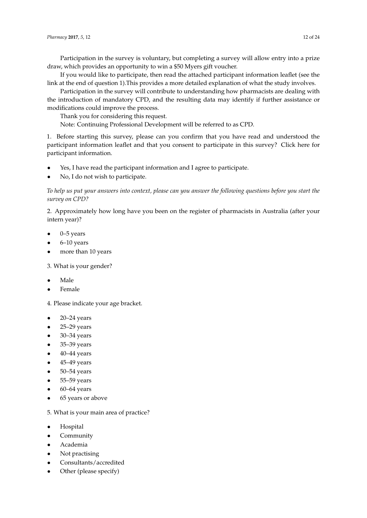Participation in the survey is voluntary, but completing a survey will allow entry into a prize draw, which provides an opportunity to win a \$50 Myers gift voucher.

If you would like to participate, then read the attached participant information leaflet (see the link at the end of question 1).This provides a more detailed explanation of what the study involves.

Participation in the survey will contribute to understanding how pharmacists are dealing with the introduction of mandatory CPD, and the resulting data may identify if further assistance or modifications could improve the process.

Thank you for considering this request.

Note: Continuing Professional Development will be referred to as CPD.

1. Before starting this survey, please can you confirm that you have read and understood the participant information leaflet and that you consent to participate in this survey? Click here for participant information.

- Yes, I have read the participant information and I agree to participate.
- No, I do not wish to participate.

*To help us put your answers into context, please can you answer the following questions before you start the survey on CPD?*

2. Approximately how long have you been on the register of pharmacists in Australia (after your intern year)?

- 0–5 years
- 6–10 years
- more than 10 years

3. What is your gender?

- Male
- Female

4. Please indicate your age bracket.

- 20–24 years
- 25–29 years
- 30–34 years
- 35–39 years
- 40–44 years
- 45–49 years
- 50–54 years
- 55–59 years
- 60–64 years
- 65 years or above

5. What is your main area of practice?

- Hospital
- **Community**
- Academia
- Not practising
- Consultants/accredited
- Other (please specify)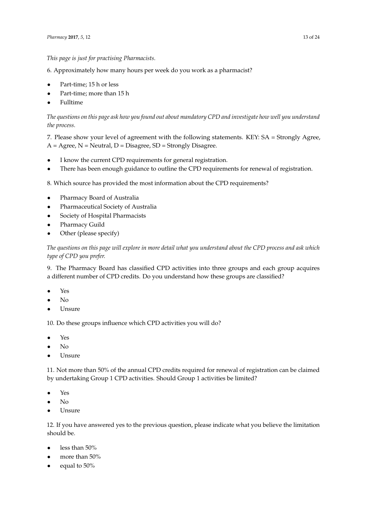# *This page is just for practising Pharmacists.*

6. Approximately how many hours per week do you work as a pharmacist?

- Part-time; 15 h or less
- Part-time; more than 15 h
- Fulltime

*The questions on this page ask how you found out about mandatory CPD and investigate how well you understand the process.*

7. Please show your level of agreement with the following statements. KEY: SA = Strongly Agree,  $A = \text{Agree}, N = \text{Neutral}, D = \text{Disagree}, SD = \text{Strongly Disagree}.$ 

- I know the current CPD requirements for general registration.
- There has been enough guidance to outline the CPD requirements for renewal of registration.

8. Which source has provided the most information about the CPD requirements?

- Pharmacy Board of Australia
- Pharmaceutical Society of Australia
- Society of Hospital Pharmacists
- Pharmacy Guild
- Other (please specify)

*The questions on this page will explore in more detail what you understand about the CPD process and ask which type of CPD you prefer.*

9. The Pharmacy Board has classified CPD activities into three groups and each group acquires a different number of CPD credits. Do you understand how these groups are classified?

- Yes
- No
- **Unsure**

10. Do these groups influence which CPD activities you will do?

- Yes
- No
- Unsure

11. Not more than 50% of the annual CPD credits required for renewal of registration can be claimed by undertaking Group 1 CPD activities. Should Group 1 activities be limited?

- Yes
- No
- Unsure

12. If you have answered yes to the previous question, please indicate what you believe the limitation should be.

- less than 50%
- more than 50%
- equal to 50%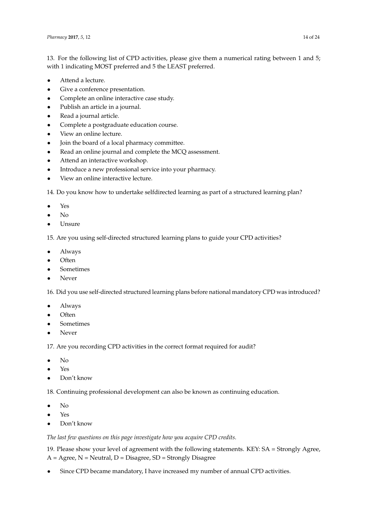13. For the following list of CPD activities, please give them a numerical rating between 1 and 5; with 1 indicating MOST preferred and 5 the LEAST preferred.

- Attend a lecture.
- Give a conference presentation.
- Complete an online interactive case study.
- Publish an article in a journal.
- Read a journal article.
- Complete a postgraduate education course.
- View an online lecture.
- Join the board of a local pharmacy committee.
- Read an online journal and complete the MCQ assessment.
- Attend an interactive workshop.
- Introduce a new professional service into your pharmacy.
- View an online interactive lecture.

14. Do you know how to undertake selfdirected learning as part of a structured learning plan?

- Yes
- $N_{\Omega}$
- Unsure

15. Are you using self-directed structured learning plans to guide your CPD activities?

- Always
- Often
- Sometimes
- Never

16. Did you use self-directed structured learning plans before national mandatory CPD was introduced?

- Always
- Often
- **Sometimes**
- Never

17. Are you recording CPD activities in the correct format required for audit?

- No
- Yes
- Don't know

18. Continuing professional development can also be known as continuing education.

- No
- Yes
- Don't know

*The last few questions on this page investigate how you acquire CPD credits.*

19. Please show your level of agreement with the following statements. KEY: SA = Strongly Agree,  $A = \text{Agree}, N = \text{Neutral}, D = \text{Disagree}, SD = \text{Strongly Disagree}$ 

Since CPD became mandatory, I have increased my number of annual CPD activities.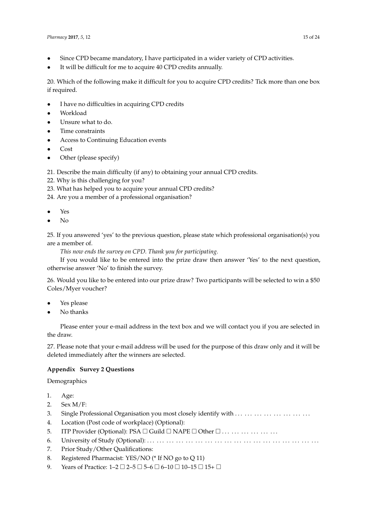- Since CPD became mandatory, I have participated in a wider variety of CPD activities.
- It will be difficult for me to acquire 40 CPD credits annually.

20. Which of the following make it difficult for you to acquire CPD credits? Tick more than one box if required.

- I have no difficulties in acquiring CPD credits
- Workload
- Unsure what to do.
- Time constraints
- Access to Continuing Education events
- Cost
- Other (please specify)

21. Describe the main difficulty (if any) to obtaining your annual CPD credits.

- 22. Why is this challenging for you?
- 23. What has helped you to acquire your annual CPD credits?
- 24. Are you a member of a professional organisation?
- Yes
- No

25. If you answered 'yes' to the previous question, please state which professional organisation(s) you are a member of.

*This now ends the survey on CPD. Thank you for participating.*

If you would like to be entered into the prize draw then answer 'Yes' to the next question, otherwise answer 'No' to finish the survey.

26. Would you like to be entered into our prize draw? Two participants will be selected to win a \$50 Coles/Myer voucher?

- Yes please
- No thanks

Please enter your e-mail address in the text box and we will contact you if you are selected in the draw.

27. Please note that your e-mail address will be used for the purpose of this draw only and it will be deleted immediately after the winners are selected.

# <span id="page-14-0"></span>**Appendix Survey 2 Questions**

Demographics

- 1. Age:
- 2. Sex M/F:
- 3. Single Professional Organisation you most closely identify with . . . . . . . . . . . . . . . . . . . . . . . .
- 4. Location (Post code of workplace) (Optional):
- 5. ITP Provider (Optional): PSA Guild NAPE Other . . . . . . . . . . . . . . . . . .
- 6. University of Study (Optional): . . . . . . . . . . . . . . . . . . . . . . . . . . . . . . . . . . . . . . . . . . . . . . . . . . . . . .
- 7. Prior Study/Other Qualifications:
- 8. Registered Pharmacist: YES/NO (\* If NO go to Q 11)
- 9. Years of Practice:  $1-2 \square 2-5 \square 5-6 \square 6-10 \square 10-15 \square 15+ \square$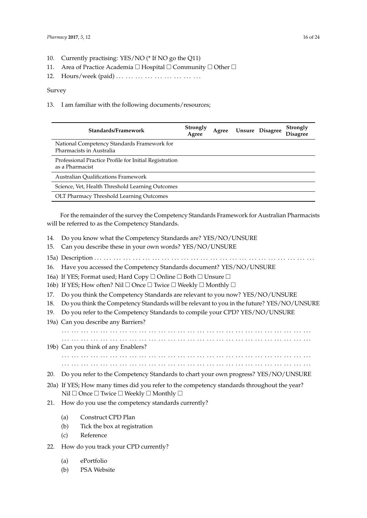- 10. Currently practising: YES/NO (\* If NO go the Q11)
- 11. Area of Practice Academia  $\Box$  Hospital  $\Box$  Community  $\Box$  Other  $\Box$
- 12. Hours/week (paid) . . . . . . . . . . . . . . . . . . . . . . . . . . .

### Survey

13. I am familiar with the following documents/resources;

| Standards/Framework                                                       | Strongly<br>Agree | Agree | Unsure Disagree | Strongly<br><b>Disagree</b> |
|---------------------------------------------------------------------------|-------------------|-------|-----------------|-----------------------------|
| National Competency Standards Framework for<br>Pharmacists in Australia   |                   |       |                 |                             |
| Professional Practice Profile for Initial Registration<br>as a Pharmacist |                   |       |                 |                             |
| <b>Australian Oualifications Framework</b>                                |                   |       |                 |                             |
| Science, Vet, Health Threshold Learning Outcomes                          |                   |       |                 |                             |
| OLT Pharmacy Threshold Learning Outcomes                                  |                   |       |                 |                             |

For the remainder of the survey the Competency Standards Framework for Australian Pharmacists will be referred to as the Competency Standards.

- 14. Do you know what the Competency Standards are? YES/NO/UNSURE
- 15. Can you describe these in your own words? YES/NO/UNSURE
- 15a) Description . . . . . . . . . . . . . . . . . . . . . . . . . . . . . . . . . . . . . . . . . . . . . . . . . . . . . . . . . . . . . . . . . . . . .
- 16. Have you accessed the Competency Standards document? YES/NO/UNSURE
- 16a) If YES; Format used; Hard Copy  $\Box$  Online  $\Box$  Both  $\Box$  Unsure  $\Box$
- 16b) If YES; How often? Nil  $\Box$  Once  $\Box$  Twice  $\Box$  Weekly  $\Box$  Monthly  $\Box$
- 17. Do you think the Competency Standards are relevant to you now? YES/NO/UNSURE
- 18. Do you think the Competency Standards will be relevant to you in the future? YES/NO/UNSURE
- 19. Do you refer to the Competency Standards to compile your CPD? YES/NO/UNSURE
- 19a) Can you describe any Barriers?

. . . . . . . . . . . . . . . . . . . . . . . . . . . . . . . . . . . . . . . . . . . . . . . . . . . . . . . . . . . . . . . . . . . . . . . . . . . . . .

- . . . . . . . . . . . . . . . . . . . . . . . . . . . . . . . . . . . . . . . . . . . . . . . . . . . . . . . . . . . . . . . . . . . . . . . . . . . . . .
- 19b) Can you think of any Enablers?

. . . . . . . . . . . . . . . . . . . . . . . . . . . . . . . . . . . . . . . . . . . . . . . . . . . . . . . . . . . . . . . . . . . . . . . . . . . . . . . . . . . . . . . . . . . . . . . . . . . . . . . . . . . . . . . . . . . . . . . . . . . . . . . . . . . . . . . . . . . . . . . . . . . . . . . . . . . .

- 20. Do you refer to the Competency Standards to chart your own progress? YES/NO/UNSURE
- 20a) If YES; How many times did you refer to the competency standards throughout the year? Nil  $\Box$  Once  $\Box$  Twice  $\Box$  Weekly  $\Box$  Monthly  $\Box$
- 21. How do you use the competency standards currently?
	- (a) Construct CPD Plan
	- (b) Tick the box at registration
	- (c) Reference
- 22. How do you track your CPD currently?
	- (a) ePortfolio
	- (b) PSA Website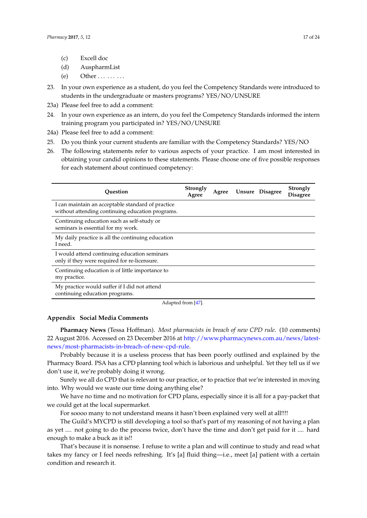- (c) Excell doc
- (d) AuspharmList
- (e) Other  $\dots \dots$
- 23. In your own experience as a student, do you feel the Competency Standards were introduced to students in the undergraduate or masters programs? YES/NO/UNSURE
- 23a) Please feel free to add a comment:
- 24. In your own experience as an intern, do you feel the Competency Standards informed the intern training program you participated in? YES/NO/UNSURE
- 24a) Please feel free to add a comment:
- 25. Do you think your current students are familiar with the Competency Standards? YES/NO
- 26. The following statements refer to various aspects of your practice. I am most interested in obtaining your candid opinions to these statements. Please choose one of five possible responses for each statement about continued competency:

| Ouestion                                                                                              | Strongly<br>Agree   | Agree | Unsure Disagree | Strongly<br><b>Disagree</b> |
|-------------------------------------------------------------------------------------------------------|---------------------|-------|-----------------|-----------------------------|
| I can maintain an acceptable standard of practice<br>without attending continuing education programs. |                     |       |                 |                             |
| Continuing education such as self-study or<br>seminars is essential for my work.                      |                     |       |                 |                             |
| My daily practice is all the continuing education<br>I need.                                          |                     |       |                 |                             |
| I would attend continuing education seminars<br>only if they were required for re-licensure.          |                     |       |                 |                             |
| Continuing education is of little importance to<br>my practice.                                       |                     |       |                 |                             |
| My practice would suffer if I did not attend<br>continuing education programs.                        |                     |       |                 |                             |
|                                                                                                       | $A = 1 - 1$ $A = 1$ |       |                 |                             |

Adapted from [\[47\]](#page-23-11).

#### <span id="page-16-0"></span>**Appendix Social Media Comments**

**Pharmacy News** (Tessa Hoffman). *Most pharmacists in breach of new CPD rule*. (10 comments) 22 August 2016. Accessed on 23 December 2016 at [http://www.pharmacynews.com.au/news/latest](http://www.pharmacynews.com.au/news/latest-news/most-pharmacists-in-breach-of-new-cpd-rule)[news/most-pharmacists-in-breach-of-new-cpd-rule.](http://www.pharmacynews.com.au/news/latest-news/most-pharmacists-in-breach-of-new-cpd-rule)

Probably because it is a useless process that has been poorly outlined and explained by the Pharmacy Board. PSA has a CPD planning tool which is laborious and unhelpful. Yet they tell us if we don't use it, we're probably doing it wrong.

Surely we all do CPD that is relevant to our practice, or to practice that we're interested in moving into. Why would we waste our time doing anything else?

We have no time and no motivation for CPD plans, especially since it is all for a pay-packet that we could get at the local supermarket.

For soooo many to not understand means it hasn't been explained very well at all!!!!

The Guild's MYCPD is still developing a tool so that's part of my reasoning of not having a plan as yet .... not going to do the process twice, don't have the time and don't get paid for it .... hard enough to make a buck as it is!!

That's because it is nonsense. I refuse to write a plan and will continue to study and read what takes my fancy or I feel needs refreshing. It's [a] fluid thing—i.e., meet [a] patient with a certain condition and research it.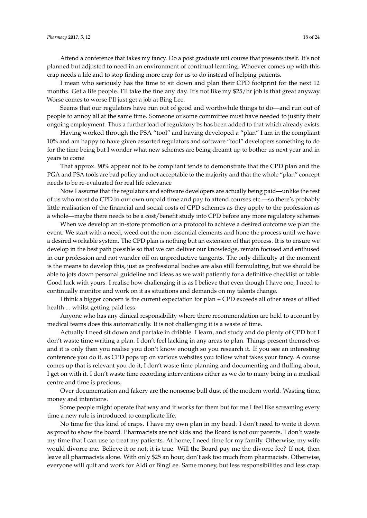Attend a conference that takes my fancy. Do a post graduate uni course that presents itself. It's not planned but adjusted to need in an environment of continual learning. Whoever comes up with this crap needs a life and to stop finding more crap for us to do instead of helping patients.

I mean who seriously has the time to sit down and plan their CPD footprint for the next 12 months. Get a life people. I'll take the fine any day. It's not like my \$25/hr job is that great anyway. Worse comes to worse I'll just get a job at Bing Lee.

Seems that our regulators have run out of good and worthwhile things to do—and run out of people to annoy all at the same time. Someone or some committee must have needed to justify their ongoing employment. Thus a further load of regulatory bs has been added to that which already exists.

Having worked through the PSA "tool" and having developed a "plan" I am in the compliant 10% and am happy to have given assorted regulators and software "tool" developers something to do for the time being but I wonder what new schemes are being dreamt up to bother us next year and in years to come

That approx. 90% appear not to be compliant tends to demonstrate that the CPD plan and the PGA and PSA tools are bad policy and not acceptable to the majority and that the whole "plan" concept needs to be re-evaluated for real life relevance

Now I assume that the regulators and software developers are actually being paid—unlike the rest of us who must do CPD in our own unpaid time and pay to attend courses etc.—so there's probably little realisation of the financial and social costs of CPD schemes as they apply to the profession as a whole—maybe there needs to be a cost/benefit study into CPD before any more regulatory schemes

When we develop an in-store promotion or a protocol to achieve a desired outcome we plan the event. We start with a need, weed out the non-essential elements and hone the process until we have a desired workable system. The CPD plan is nothing but an extension of that process. It is to ensure we develop in the best path possible so that we can deliver our knowledge, remain focused and enthused in our profession and not wander off on unproductive tangents. The only difficulty at the moment is the means to develop this, just as professional bodies are also still formulating, but we should be able to jots down personal guideline and ideas as we wait patiently for a definitive checklist or table. Good luck with yours. I realise how challenging it is as I believe that even though I have one, I need to continually monitor and work on it as situations and demands on my talents change.

I think a bigger concern is the current expectation for plan + CPD exceeds all other areas of allied health ... whilst getting paid less.

Anyone who has any clinical responsibility where there recommendation are held to account by medical teams does this automatically. It is not challenging it is a waste of time.

Actually I need sit down and partake in dribble. I learn, and study and do plenty of CPD but I don't waste time writing a plan. I don't feel lacking in any areas to plan. Things present themselves and it is only then you realise you don't know enough so you research it. If you see an interesting conference you do it, as CPD pops up on various websites you follow what takes your fancy. A course comes up that is relevant you do it, I don't waste time planning and documenting and fluffing about, I get on with it. I don't waste time recording interventions either as we do to many being in a medical centre and time is precious.

Over documentation and fakery are the nonsense bull dust of the modern world. Wasting time, money and intentions.

Some people might operate that way and it works for them but for me I feel like screaming every time a new rule is introduced to complicate life.

No time for this kind of craps. I have my own plan in my head. I don't need to write it down as proof to show the board. Pharmacists are not kids and the Board is not our parents. I don't waste my time that I can use to treat my patients. At home, I need time for my family. Otherwise, my wife would divorce me. Believe it or not, it is true. Will the Board pay me the divorce fee? If not, then leave all pharmacists alone. With only \$25 an hour, don't ask too much from pharmacists. Otherwise, everyone will quit and work for Aldi or BingLee. Same money, but less responsibilities and less crap.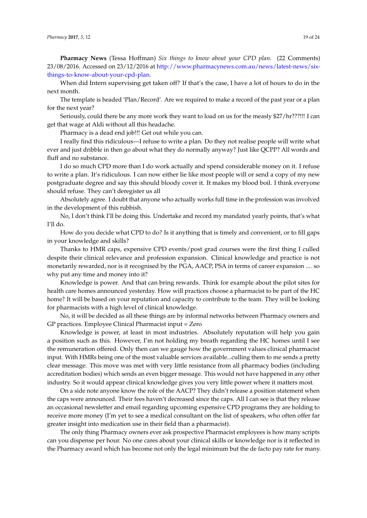**Pharmacy News** (Tessa Hoffman) *Six things to know about your CPD plan*. (22 Comments) 23/08/2016. Accessed on 23/12/2016 at [http://www.pharmacynews.com.au/news/latest-news/six](http://www.pharmacynews.com.au/news/latest-news/six-things-to-know-about-your-cpd-plan)[things-to-know-about-your-cpd-plan.](http://www.pharmacynews.com.au/news/latest-news/six-things-to-know-about-your-cpd-plan)

When did Intern supervising get taken off? If that's the case, I have a lot of hours to do in the next month.

The template is headed 'Plan/Record'. Are we required to make a record of the past year or a plan for the next year?

Seriously, could there be any more work they want to load on us for the measly \$27/hr???!!! I can get that wage at Aldi without all this headache.

Pharmacy is a dead end job!!! Get out while you can.

I really find this ridiculous—I refuse to write a plan. Do they not realise people will write what ever and just dribble in then go about what they do normally anyway? Just like QCPP? All words and fluff and no substance.

I do so much CPD more than I do work actually and spend considerable money on it. I refuse to write a plan. It's ridiculous. I can now either lie like most people will or send a copy of my new postgraduate degree and say this should bloody cover it. It makes my blood boil. I think everyone should refuse. They can't deregister us all

Absolutely agree. I doubt that anyone who actually works full time in the profession was involved in the development of this rubbish.

No, I don't think I'll be doing this. Undertake and record my mandated yearly points, that's what I'll do.

How do you decide what CPD to do? Is it anything that is timely and convenient, or to fill gaps in your knowledge and skills?

Thanks to HMR caps, expensive CPD events/post grad courses were the first thing I culled despite their clinical relevance and profession expansion. Clinical knowledge and practice is not monetarily rewarded, nor is it recognised by the PGA, AACP, PSA in terms of career expansion .... so why put any time and money into it?

Knowledge is power. And that can bring rewards. Think for example about the pilot sites for health care homes announced yesterday. How will practices choose a pharmacist to be part of the HC home? It will be based on your reputation and capacity to contribute to the team. They will be looking for pharmacists with a high level of clinical knowledge.

No, it will be decided as all these things are by informal networks between Pharmacy owners and GP practices. Employee Clinical Pharmacist input = Zero

Knowledge is power, at least in most industries. Absolutely reputation will help you gain a position such as this. However, I'm not holding my breath regarding the HC homes until I see the remuneration offered. Only then can we gauge how the government values clinical pharmacist input. With HMRs being one of the most valuable services available...culling them to me sends a pretty clear message. This move was met with very little resistance from all pharmacy bodies (including accreditation bodies) which sends an even bigger message. This would not have happened in any other industry. So it would appear clinical knowledge gives you very little power where it matters most.

On a side note anyone know the role of the AACP? They didn't release a position statement when the caps were announced. Their fees haven't decreased since the caps. All I can see is that they release an occasional newsletter and email regarding upcoming expensive CPD programs they are holding to receive more money (I'm yet to see a medical consultant on the list of speakers, who often offer far greater insight into medication use in their field than a pharmacist).

The only thing Pharmacy owners ever ask prospective Pharmacist employees is how many scripts can you dispense per hour. No one cares about your clinical skills or knowledge nor is it reflected in the Pharmacy award which has become not only the legal minimum but the de facto pay rate for many.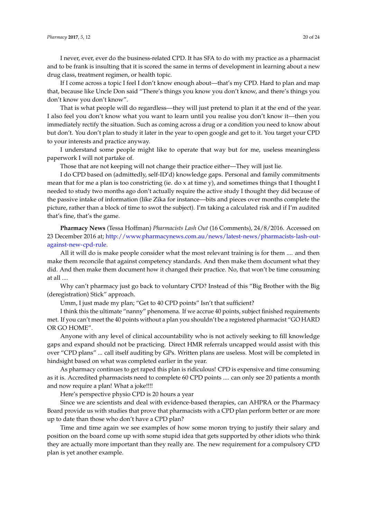I never, ever, ever do the business-related CPD. It has SFA to do with my practice as a pharmacist and to be frank is insulting that it is scored the same in terms of development in learning about a new drug class, treatment regimen, or health topic.

If I come across a topic I feel I don't know enough about—that's my CPD. Hard to plan and map that, because like Uncle Don said "There's things you know you don't know, and there's things you don't know you don't know".

That is what people will do regardless—they will just pretend to plan it at the end of the year. I also feel you don't know what you want to learn until you realise you don't know it—then you immediately rectify the situation. Such as coming across a drug or a condition you need to know about but don't. You don't plan to study it later in the year to open google and get to it. You target your CPD to your interests and practice anyway.

I understand some people might like to operate that way but for me, useless meaningless paperwork I will not partake of.

Those that are not keeping will not change their practice either—They will just lie.

I do CPD based on (admittedly, self-ID'd) knowledge gaps. Personal and family commitments mean that for me a plan is too constricting (ie. do x at time y), and sometimes things that I thought I needed to study two months ago don't actually require the active study I thought they did because of the passive intake of information (like Zika for instance—bits and pieces over months complete the picture, rather than a block of time to swot the subject). I'm taking a calculated risk and if I'm audited that's fine, that's the game.

**Pharmacy News** (Tessa Hoffman) *Pharmacists Lash Out* (16 Comments), 24/8/2016. Accessed on 23 December 2016 at; [http://www.pharmacynews.com.au/news/latest-news/pharmacists-lash-out](http://www.pharmacynews.com.au/news/latest-news/pharmacists-lash-out-against-new-cpd-rule)[against-new-cpd-rule.](http://www.pharmacynews.com.au/news/latest-news/pharmacists-lash-out-against-new-cpd-rule)

All it will do is make people consider what the most relevant training is for them .... and then make them reconcile that against competency standards. And then make them document what they did. And then make them document how it changed their practice. No, that won't be time consuming at all ....

Why can't pharmacy just go back to voluntary CPD? Instead of this "Big Brother with the Big (deregistration) Stick" approach.

Umm, I just made my plan; "Get to 40 CPD points" Isn't that sufficient?

I think this the ultimate "nanny" phenomena. If we accrue 40 points, subject finished requirements met. If you can't meet the 40 points without a plan you shouldn't be a registered pharmacist "GO HARD OR GO HOME".

Anyone with any level of clinical accountability who is not actively seeking to fill knowledge gaps and expand should not be practicing. Direct HMR referrals uncapped would assist with this over "CPD plans" ... call itself auditing by GPs. Written plans are useless. Most will be completed in hindsight based on what was completed earlier in the year.

As pharmacy continues to get raped this plan is ridiculous! CPD is expensive and time consuming as it is. Accredited pharmacists need to complete 60 CPD points .... can only see 20 patients a month and now require a plan! What a joke!!!!

Here's perspective physio CPD is 20 hours a year

Since we are scientists and deal with evidence-based therapies, can AHPRA or the Pharmacy Board provide us with studies that prove that pharmacists with a CPD plan perform better or are more up to date than those who don't have a CPD plan?

Time and time again we see examples of how some moron trying to justify their salary and position on the board come up with some stupid idea that gets supported by other idiots who think they are actually more important than they really are. The new requirement for a compulsory CPD plan is yet another example.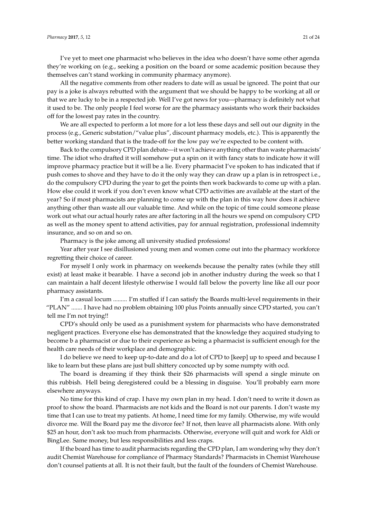I've yet to meet one pharmacist who believes in the idea who doesn't have some other agenda they're working on (e.g., seeking a position on the board or some academic position because they themselves can't stand working in community pharmacy anymore).

All the negative comments from other readers to date will as usual be ignored. The point that our pay is a joke is always rebutted with the argument that we should be happy to be working at all or that we are lucky to be in a respected job. Well I've got news for you—pharmacy is definitely not what it used to be. The only people I feel worse for are the pharmacy assistants who work their backsides off for the lowest pay rates in the country.

We are all expected to perform a lot more for a lot less these days and sell out our dignity in the process (e.g., Generic substation/"value plus", discount pharmacy models, etc.). This is apparently the better working standard that is the trade-off for the low pay we're expected to be content with.

Back to the compulsory CPD plan debate—it won't achieve anything other than waste pharmacists' time. The idiot who drafted it will somehow put a spin on it with fancy stats to indicate how it will improve pharmacy practice but it will be a lie. Every pharmacist I've spoken to has indicated that if push comes to shove and they have to do it the only way they can draw up a plan is in retrospect i.e., do the compulsory CPD during the year to get the points then work backwards to come up with a plan. How else could it work if you don't even know what CPD activities are available at the start of the year? So if most pharmacists are planning to come up with the plan in this way how does it achieve anything other than waste all our valuable time. And while on the topic of time could someone please work out what our actual hourly rates are after factoring in all the hours we spend on compulsory CPD as well as the money spent to attend activities, pay for annual registration, professional indemnity insurance, and so on and so on.

Pharmacy is the joke among all university studied professions!

Year after year I see disillusioned young men and women come out into the pharmacy workforce regretting their choice of career.

For myself I only work in pharmacy on weekends because the penalty rates (while they still exist) at least make it bearable. I have a second job in another industry during the week so that I can maintain a half decent lifestyle otherwise I would fall below the poverty line like all our poor pharmacy assistants.

I'm a casual locum ......... I'm stuffed if I can satisfy the Boards multi-level requirements in their "PLAN" ....... I have had no problem obtaining 100 plus Points annually since CPD started, you can't tell me I'm not trying!!

CPD's should only be used as a punishment system for pharmacists who have demonstrated negligent practices. Everyone else has demonstrated that the knowledge they acquired studying to become b a pharmacist or due to their experience as being a pharmacist is sufficient enough for the health care needs of their workplace and demographic.

I do believe we need to keep up-to-date and do a lot of CPD to [keep] up to speed and because I like to learn but these plans are just bull shittery concocted up by some numpty with ocd.

The board is dreaming if they think their \$26 pharmacists will spend a single minute on this rubbish. Hell being deregistered could be a blessing in disguise. You'll probably earn more elsewhere anyways.

No time for this kind of crap. I have my own plan in my head. I don't need to write it down as proof to show the board. Pharmacists are not kids and the Board is not our parents. I don't waste my time that I can use to treat my patients. At home, I need time for my family. Otherwise, my wife would divorce me. Will the Board pay me the divorce fee? If not, then leave all pharmacists alone. With only \$25 an hour, don't ask too much from pharmacists. Otherwise, everyone will quit and work for Aldi or BingLee. Same money, but less responsibilities and less craps.

If the board has time to audit pharmacists regarding the CPD plan, I am wondering why they don't audit Chemist Warehouse for compliance of Pharmacy Standards? Pharmacists in Chemist Warehouse don't counsel patients at all. It is not their fault, but the fault of the founders of Chemist Warehouse.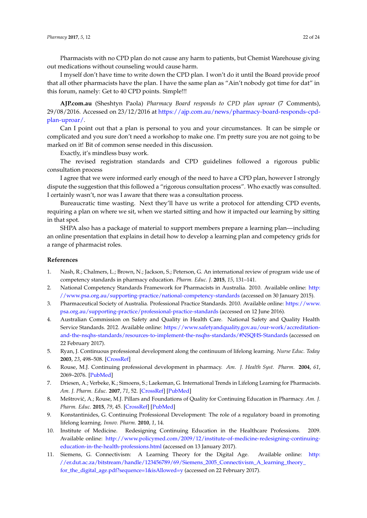Pharmacists with no CPD plan do not cause any harm to patients, but Chemist Warehouse giving out medications without counseling would cause harm.

I myself don't have time to write down the CPD plan. I won't do it until the Board provide proof that all other pharmacists have the plan. I have the same plan as "Ain't nobody got time for dat" in this forum, namely: Get to 40 CPD points. Simple!!!

**AJP.com.au** (Sheshtyn Paola) *Pharmacy Board responds to CPD plan uproar* (7 Comments), 29/08/2016. Accessed on 23/12/2016 at [https://ajp.com.au/news/pharmacy-board-responds-cpd](https://ajp.com.au/news/pharmacy-board-responds-cpd-plan-uproar/)[plan-uproar/.](https://ajp.com.au/news/pharmacy-board-responds-cpd-plan-uproar/)

Can I point out that a plan is personal to you and your circumstances. It can be simple or complicated and you sure don't need a workshop to make one. I'm pretty sure you are not going to be marked on it! Bit of common sense needed in this discussion.

Exactly, it's mindless busy work.

The revised registration standards and CPD guidelines followed a rigorous public consultation process

I agree that we were informed early enough of the need to have a CPD plan, however I strongly dispute the suggestion that this followed a "rigorous consultation process". Who exactly was consulted. I certainly wasn't, nor was I aware that there was a consultation process.

Bureaucratic time wasting. Next they'll have us write a protocol for attending CPD events, requiring a plan on where we sit, when we started sitting and how it impacted our learning by sitting in that spot.

SHPA also has a package of material to support members prepare a learning plan—including an online presentation that explains in detail how to develop a learning plan and competency grids for a range of pharmacist roles.

#### **References**

- <span id="page-21-0"></span>1. Nash, R.; Chalmers, L.; Brown, N.; Jackson, S.; Peterson, G. An international review of program wide use of competency standards in pharmacy education. *Pharm. Educ. J.* **2015**, *15*, 131–141.
- <span id="page-21-1"></span>2. National Competency Standards Framework for Pharmacists in Australia. 2010. Available online: [http:](http://www.psa.org.au/supporting-practice/national-competency-standards) [//www.psa.org.au/supporting-practice/national-competency-standards](http://www.psa.org.au/supporting-practice/national-competency-standards) (accessed on 30 January 2015).
- <span id="page-21-2"></span>3. Pharmaceutical Society of Australia. Professional Practice Standards. 2010. Available online: [https://www.](https://www.psa.org.au/supporting-practice/professional-practice-standards) [psa.org.au/supporting-practice/professional-practice-standards](https://www.psa.org.au/supporting-practice/professional-practice-standards) (accessed on 12 June 2016).
- <span id="page-21-3"></span>4. Australian Commission on Safety and Quality in Health Care. National Safety and Quality Health Service Standards. 2012. Available online: [https://www.safetyandquality.gov.au/our-work/accreditation](https://www.safetyandquality.gov.au/our-work/accreditation-and-the-nsqhs-standards/resources-to-implement-the-nsqhs-standards/#NSQHS-Standards)[and-the-nsqhs-standards/resources-to-implement-the-nsqhs-standards/#NSQHS-Standards](https://www.safetyandquality.gov.au/our-work/accreditation-and-the-nsqhs-standards/resources-to-implement-the-nsqhs-standards/#NSQHS-Standards) (accessed on 22 February 2017).
- <span id="page-21-4"></span>5. Ryan, J. Continuous professional development along the continuum of lifelong learning. *Nurse Educ. Today* **2003**, *23*, 498–508. [\[CrossRef\]](http://dx.doi.org/10.1016/S0260-6917(03)00074-1)
- <span id="page-21-6"></span>6. Rouse, M.J. Continuing professional development in pharmacy. *Am. J. Health Syst. Pharm.* **2004**, *61*, 2069–2076. [\[PubMed\]](http://www.ncbi.nlm.nih.gov/pubmed/15509129)
- 7. Driesen, A.; Verbeke, K.; Simoens, S.; Laekeman, G. International Trends in Lifelong Learning for Pharmacists. *Am. J. Pharm. Educ.* **2007**, *71*, 52. [\[CrossRef\]](http://dx.doi.org/10.5688/aj710352) [\[PubMed\]](http://www.ncbi.nlm.nih.gov/pubmed/17619652)
- <span id="page-21-5"></span>8. Meštrović, A.; Rouse, M.J. Pillars and Foundations of Quality for Continuing Education in Pharmacy. Am. J. *Pharm. Educ.* **2015**, *79*, 45. [\[CrossRef\]](http://dx.doi.org/10.5688/ajpe79345) [\[PubMed\]](http://www.ncbi.nlm.nih.gov/pubmed/25995520)
- <span id="page-21-7"></span>9. Konstantinides, G. Continuing Professional Development: The role of a regulatory board in promoting lifelong learning. *Innov. Pharm.* **2010**, *1*, 14.
- <span id="page-21-8"></span>10. Institute of Medicine. Redesigning Continuing Education in the Healthcare Professions. 2009. Available online: [http://www.policymed.com/2009/12/institute-of-medicine-redesigning-continuing](http://www.policymed.com/2009/12/institute-of-medicine-redesigning-continuing-education-in-the-health-professions.html)[education-in-the-health-professions.html](http://www.policymed.com/2009/12/institute-of-medicine-redesigning-continuing-education-in-the-health-professions.html) (accessed on 13 January 2017).
- <span id="page-21-9"></span>11. Siemens, G. Connectivism: A Learning Theory for the Digital Age. Available online: [http:](http://er.dut.ac.za/bitstream/handle/123456789/69/Siemens_2005_Connectivism_A_learning_theory_for_the_digital_age.pdf?sequence=1&isAllowed=y) [//er.dut.ac.za/bitstream/handle/123456789/69/Siemens\\_2005\\_Connectivism\\_A\\_learning\\_theory\\_](http://er.dut.ac.za/bitstream/handle/123456789/69/Siemens_2005_Connectivism_A_learning_theory_for_the_digital_age.pdf?sequence=1&isAllowed=y) [for\\_the\\_digital\\_age.pdf?sequence=1&isAllowed=y](http://er.dut.ac.za/bitstream/handle/123456789/69/Siemens_2005_Connectivism_A_learning_theory_for_the_digital_age.pdf?sequence=1&isAllowed=y) (accessed on 22 February 2017).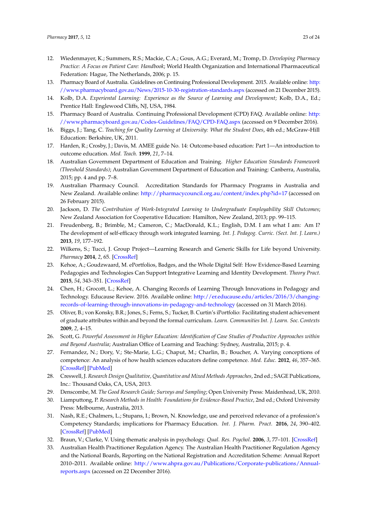- <span id="page-22-0"></span>12. Wiedenmayer, K.; Summers, R.S.; Mackie, C.A.; Gous, A.G.; Everard, M.; Tromp, D. *Developing Pharmacy Practice: A Focus on Patient Care: Handbook*; World Health Organization and International Pharmaceutical Federation: Hague, The Netherlands, 2006; p. 15.
- <span id="page-22-1"></span>13. Pharmacy Board of Australia. Guidelines on Continuing Professional Development. 2015. Available online: [http:](http://www.pharmacyboard.gov.au/News/2015-10-30-registration-standards.aspx) [//www.pharmacyboard.gov.au/News/2015-10-30-registration-standards.aspx](http://www.pharmacyboard.gov.au/News/2015-10-30-registration-standards.aspx) (accessed on 21 December 2015).
- <span id="page-22-2"></span>14. Kolb, D.A. *Experiental Learning: Experience as the Source of Learning and Development*; Kolb, D.A., Ed.; Prentice Hall: Englewood Cliffs, NJ, USA, 1984.
- <span id="page-22-3"></span>15. Pharmacy Board of Australia. Continuing Professional Development (CPD) FAQ. Available online: [http:](http://www.pharmacyboard.gov.au/Codes-Guidelines/FAQ/CPD-FAQ.aspx) [//www.pharmacyboard.gov.au/Codes-Guidelines/FAQ/CPD-FAQ.aspx](http://www.pharmacyboard.gov.au/Codes-Guidelines/FAQ/CPD-FAQ.aspx) (accessed on 9 December 2016).
- <span id="page-22-4"></span>16. Biggs, J.; Tang, C. *Teaching for Quality Learning at University: What the Student Does*, 4th ed.; McGraw-Hill Education: Berkshire, UK, 2011.
- <span id="page-22-6"></span>17. Harden, R.; Crosby, J.; Davis, M. AMEE guide No. 14: Outcome-based education: Part 1—An introduction to outcome education. *Med. Teach.* **1999**, *21*, 7–14.
- <span id="page-22-5"></span>18. Australian Government Department of Education and Training. *Higher Education Standards Framework (Threshold Standards)*; Australian Government Department of Education and Training: Canberra, Australia, 2015; pp. 4 and pp. 7–8.
- <span id="page-22-7"></span>19. Australian Pharmacy Council. Accreditation Standards for Pharmacy Programs in Australia and New Zealand. Available online: <http://pharmacycouncil.org.au/content/index.php?id=17> (accessed on 26 February 2015).
- <span id="page-22-8"></span>20. Jackson, D. *The Contribution of Work-Integrated Learning to Undergraduate Employability Skill Outcomes*; New Zealand Association for Cooperative Education: Hamilton, New Zealand, 2013; pp. 99–115.
- <span id="page-22-9"></span>21. Freudenberg, B.; Brimble, M.; Cameron, C.; MacDonald, K.L.; English, D.M. I am what I am: Am I? The development of self-efficacy through work integrated learning. *Int. J. Pedagog. Curric. (Sect. Int. J. Learn.)* **2013**, *19*, 177–192.
- <span id="page-22-10"></span>22. Wilkens, S.; Tucci, J. Group Project—Learning Research and Generic Skills for Life beyond University. *Pharmacy* **2014**, *2*, 65. [\[CrossRef\]](http://dx.doi.org/10.3390/pharmacy2010065)
- <span id="page-22-11"></span>23. Kehoe, A.; Goudzwaard, M. ePortfolios, Badges, and the Whole Digital Self: How Evidence-Based Learning Pedagogies and Technologies Can Support Integrative Learning and Identity Development. *Theory Pract.* **2015**, *54*, 343–351. [\[CrossRef\]](http://dx.doi.org/10.1080/00405841.2015.1077628)
- 24. Chen, H.; Grocott, L.; Kehoe, A. Changing Records of Learning Through Innovations in Pedagogy and Technology. Educause Review. 2016. Available online: [http://er.educause.edu/articles/2016/3/changing](http://er.educause.edu/articles/2016/3/changing-records-of-learning-through-innovations-in-pedagogy-and-technology)[records-of-learning-through-innovations-in-pedagogy-and-technology](http://er.educause.edu/articles/2016/3/changing-records-of-learning-through-innovations-in-pedagogy-and-technology) (accessed on 31 March 2016).
- <span id="page-22-12"></span>25. Oliver, B.; von Konsky, B.R.; Jones, S.; Ferns, S.; Tucker, B. Curtin's iPortfolio: Facilitating student achievement of graduate attributes within and beyond the formal curriculum. *Learn. Communities Int. J. Learn. Soc. Contexts* **2009**, *2*, 4–15.
- <span id="page-22-13"></span>26. Scott, G. *Powerful Assessment in Higher Education: Identification of Case Studies of Productive Approaches within and Beyond Australia*; Australian Office of Learning and Teaching: Sydney, Australia, 2015; p. 4.
- <span id="page-22-14"></span>27. Fernandez, N.; Dory, V.; Ste-Marie, L.G.; Chaput, M.; Charlin, B.; Boucher, A. Varying conceptions of competence: An analysis of how health sciences educators define competence. *Med. Educ.* **2012**, *46*, 357–365. [\[CrossRef\]](http://dx.doi.org/10.1111/j.1365-2923.2011.04183.x) [\[PubMed\]](http://www.ncbi.nlm.nih.gov/pubmed/22429171)
- <span id="page-22-15"></span>28. Creswell, J. *Research Design Qualitative, Quantitative and Mixed Methods Approaches*, 2nd ed.; SAGE Publications, Inc.: Thousand Oaks, CA, USA, 2013.
- <span id="page-22-16"></span>29. Denscombe, M. *The Good Research Guide; Surveys and Sampling*; Open University Press: Maidenhead, UK, 2010.
- <span id="page-22-17"></span>30. Liamputtong, P. *Research Methods in Health: Foundations for Evidence-Based Practice*, 2nd ed.; Oxford University Press: Melbourne, Australia, 2013.
- <span id="page-22-18"></span>31. Nash, R.E.; Chalmers, L.; Stupans, I.; Brown, N. Knowledge, use and perceived relevance of a profession's Competency Standards; implications for Pharmacy Education. *Int. J. Pharm. Pract.* **2016**, *24*, 390–402. [\[CrossRef\]](http://dx.doi.org/10.1111/ijpp.12267) [\[PubMed\]](http://www.ncbi.nlm.nih.gov/pubmed/27103063)
- <span id="page-22-19"></span>32. Braun, V.; Clarke, V. Using thematic analysis in psychology. *Qual. Res. Psychol.* **2006**, *3*, 77–101. [\[CrossRef\]](http://dx.doi.org/10.1191/1478088706qp063oa)
- <span id="page-22-20"></span>33. Australian Health Practitioner Regulation Agency. The Australian Health Practitioner Regulation Agency and the National Boards, Reporting on the National Registration and Accreditation Scheme: Annual Report 2010–2011. Available online: [http://www.ahpra.gov.au/Publications/Corporate-publications/Annual](http://www.ahpra.gov.au/Publications/Corporate-publications/Annual-reports.aspx)[reports.aspx](http://www.ahpra.gov.au/Publications/Corporate-publications/Annual-reports.aspx) (accessed on 22 December 2016).